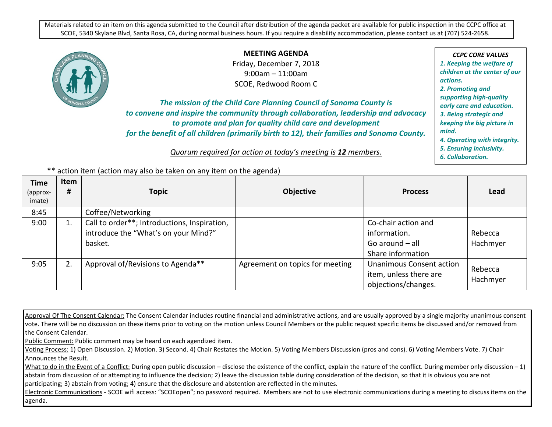Materials related to an item on this agenda submitted to the Council after distribution of the agenda packet are available for public inspection in the CCPC office at SCOE, 5340 Skylane Blvd, Santa Rosa, CA, during normal business hours. If you require a disability accommodation, please contact us at (707) 524-2658.



**MEETING AGENDA** Friday, December 7, 2018

9:00am – 11:00am SCOE, Redwood Room C

*The mission of the Child Care Planning Council of Sonoma County is to convene and inspire the community through collaboration, leadership and advocacy to promote and plan for quality child care and development for the benefit of all children (primarily birth to 12), their families and Sonoma County.*

*Quorum required for action at today's meeting is 12 members*.

*CCPC CORE VALUES 1. Keeping the welfare of children at the center of our actions. 2. Promoting and supporting high-quality early care and education. 3. Being strategic and keeping the big picture in mind. 4. Operating with integrity. 5. Ensuring inclusivity. 6. Collaboration.*

| ** action item (action may also be taken on any item on the agenda) |  |  |  |  |  |  |
|---------------------------------------------------------------------|--|--|--|--|--|--|
|---------------------------------------------------------------------|--|--|--|--|--|--|

| Time<br>(approx-<br>imate) | Item<br># | <b>Topic</b>                                                                                    | <b>Objective</b>                | <b>Process</b>                                                                | Lead                |
|----------------------------|-----------|-------------------------------------------------------------------------------------------------|---------------------------------|-------------------------------------------------------------------------------|---------------------|
| 8:45                       |           | Coffee/Networking                                                                               |                                 |                                                                               |                     |
| 9:00                       |           | Call to order**; Introductions, Inspiration,<br>introduce the "What's on your Mind?"<br>basket. |                                 | Co-chair action and<br>information.<br>Go around $-$ all<br>Share information | Rebecca<br>Hachmyer |
| 9:05                       |           | Approval of/Revisions to Agenda**                                                               | Agreement on topics for meeting | Unanimous Consent action<br>item, unless there are<br>objections/changes.     | Rebecca<br>Hachmyer |

Approval Of The Consent Calendar: The Consent Calendar includes routine financial and administrative actions, and are usually approved by a single majority unanimous consent vote. There will be no discussion on these items prior to voting on the motion unless Council Members or the public request specific items be discussed and/or removed from the Consent Calendar.

Public Comment: Public comment may be heard on each agendized item.

Voting Process: 1) Open Discussion. 2) Motion. 3) Second. 4) Chair Restates the Motion. 5) Voting Members Discussion (pros and cons). 6) Voting Members Vote. 7) Chair Announces the Result.

What to do in the Event of a Conflict: During open public discussion – disclose the existence of the conflict, explain the nature of the conflict. During member only discussion – 1) abstain from discussion of or attempting to influence the decision; 2) leave the discussion table during consideration of the decision, so that it is obvious you are not participating; 3) abstain from voting; 4) ensure that the disclosure and abstention are reflected in the minutes.

Electronic Communications - SCOE wifi access: "SCOEopen"; no password required. Members are not to use electronic communications during a meeting to discuss items on the agenda.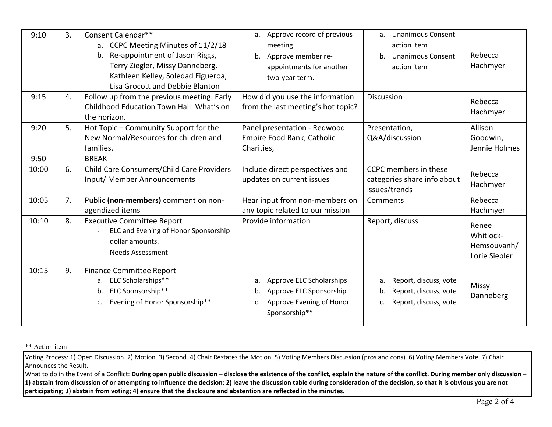| 9:10         | 3. | Consent Calendar**<br>a. CCPC Meeting Minutes of 11/2/18<br>b. Re-appointment of Jason Riggs,<br>Terry Ziegler, Missy Danneberg,<br>Kathleen Kelley, Soledad Figueroa,<br>Lisa Grocott and Debbie Blanton | Approve record of previous<br>a.<br>meeting<br>Approve member re-<br>b.<br>appointments for another<br>two-year term. | <b>Unanimous Consent</b><br>a.<br>action item<br><b>Unanimous Consent</b><br>b.<br>action item | Rebecca<br>Hachmyer                                |
|--------------|----|-----------------------------------------------------------------------------------------------------------------------------------------------------------------------------------------------------------|-----------------------------------------------------------------------------------------------------------------------|------------------------------------------------------------------------------------------------|----------------------------------------------------|
| 9:15         | 4. | Follow up from the previous meeting: Early<br>Childhood Education Town Hall: What's on<br>the horizon.                                                                                                    | How did you use the information<br>from the last meeting's hot topic?                                                 | Discussion                                                                                     | Rebecca<br>Hachmyer                                |
| 9:20<br>9:50 | 5. | Hot Topic - Community Support for the<br>New Normal/Resources for children and<br>families.<br><b>BREAK</b>                                                                                               | Panel presentation - Redwood<br>Empire Food Bank, Catholic<br>Charities,                                              | Presentation,<br>Q&A/discussion                                                                | Allison<br>Goodwin,<br>Jennie Holmes               |
| 10:00        | 6. | Child Care Consumers/Child Care Providers<br>Input/ Member Announcements                                                                                                                                  | Include direct perspectives and<br>updates on current issues                                                          | CCPC members in these<br>categories share info about<br>issues/trends                          | Rebecca<br>Hachmyer                                |
| 10:05        | 7. | Public (non-members) comment on non-<br>agendized items                                                                                                                                                   | Hear input from non-members on<br>any topic related to our mission                                                    | Comments                                                                                       | Rebecca<br>Hachmyer                                |
| 10:10        | 8. | <b>Executive Committee Report</b><br>ELC and Evening of Honor Sponsorship<br>dollar amounts.<br><b>Needs Assessment</b>                                                                                   | Provide information                                                                                                   | Report, discuss                                                                                | Renee<br>Whitlock-<br>Hemsouvanh/<br>Lorie Siebler |
| 10:15        | 9. | <b>Finance Committee Report</b><br>a. ELC Scholarships**<br>ELC Sponsorship**<br>b.<br>Evening of Honor Sponsorship**<br>c.                                                                               | Approve ELC Scholarships<br>a.<br>Approve ELC Sponsorship<br>b.<br>Approve Evening of Honor<br>c.<br>Sponsorship**    | Report, discuss, vote<br>a.<br>Report, discuss, vote<br>b.<br>Report, discuss, vote<br>c.      | <b>Missy</b><br>Danneberg                          |

\*\* Action item

Voting Process: 1) Open Discussion. 2) Motion. 3) Second. 4) Chair Restates the Motion. 5) Voting Members Discussion (pros and cons). 6) Voting Members Vote. 7) Chair Announces the Result.

What to do in the Event of a Conflict: During open public discussion – disclose the existence of the conflict, explain the nature of the conflict. During member only discussion – **1) abstain from discussion of or attempting to influence the decision; 2) leave the discussion table during consideration of the decision, so that it is obvious you are not participating; 3) abstain from voting; 4) ensure that the disclosure and abstention are reflected in the minutes.**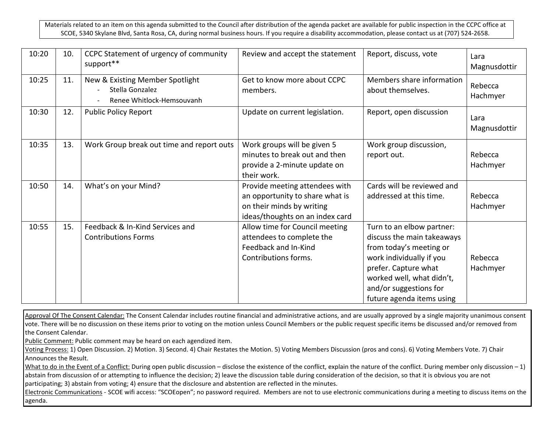Materials related to an item on this agenda submitted to the Council after distribution of the agenda packet are available for public inspection in the CCPC office at SCOE, 5340 Skylane Blvd, Santa Rosa, CA, during normal business hours. If you require a disability accommodation, please contact us at (707) 524-2658.

| 10:20 | 10. | CCPC Statement of urgency of community<br>support**                             | Review and accept the statement                                                                                                   | Report, discuss, vote                                                                                                                                                                                                      | Lara<br>Magnusdottir |
|-------|-----|---------------------------------------------------------------------------------|-----------------------------------------------------------------------------------------------------------------------------------|----------------------------------------------------------------------------------------------------------------------------------------------------------------------------------------------------------------------------|----------------------|
| 10:25 | 11. | New & Existing Member Spotlight<br>Stella Gonzalez<br>Renee Whitlock-Hemsouvanh | Get to know more about CCPC<br>members.                                                                                           | Members share information<br>about themselves.                                                                                                                                                                             | Rebecca<br>Hachmyer  |
| 10:30 | 12. | <b>Public Policy Report</b>                                                     | Update on current legislation.                                                                                                    | Report, open discussion                                                                                                                                                                                                    | Lara<br>Magnusdottir |
| 10:35 | 13. | Work Group break out time and report outs                                       | Work groups will be given 5<br>minutes to break out and then<br>provide a 2-minute update on<br>their work.                       | Work group discussion,<br>report out.                                                                                                                                                                                      | Rebecca<br>Hachmyer  |
| 10:50 | 14. | What's on your Mind?                                                            | Provide meeting attendees with<br>an opportunity to share what is<br>on their minds by writing<br>ideas/thoughts on an index card | Cards will be reviewed and<br>addressed at this time.                                                                                                                                                                      | Rebecca<br>Hachmyer  |
| 10:55 | 15. | Feedback & In-Kind Services and<br><b>Contributions Forms</b>                   | Allow time for Council meeting<br>attendees to complete the<br>Feedback and In-Kind<br>Contributions forms.                       | Turn to an elbow partner:<br>discuss the main takeaways<br>from today's meeting or<br>work individually if you<br>prefer. Capture what<br>worked well, what didn't,<br>and/or suggestions for<br>future agenda items using | Rebecca<br>Hachmyer  |

Approval Of The Consent Calendar: The Consent Calendar includes routine financial and administrative actions, and are usually approved by a single majority unanimous consent vote. There will be no discussion on these items prior to voting on the motion unless Council Members or the public request specific items be discussed and/or removed from the Consent Calendar.

Public Comment: Public comment may be heard on each agendized item.

Voting Process: 1) Open Discussion. 2) Motion. 3) Second. 4) Chair Restates the Motion. 5) Voting Members Discussion (pros and cons). 6) Voting Members Vote. 7) Chair Announces the Result.

What to do in the Event of a Conflict: During open public discussion – disclose the existence of the conflict, explain the nature of the conflict. During member only discussion – 1) abstain from discussion of or attempting to influence the decision; 2) leave the discussion table during consideration of the decision, so that it is obvious you are not participating; 3) abstain from voting; 4) ensure that the disclosure and abstention are reflected in the minutes.

Electronic Communications - SCOE wifi access: "SCOEopen"; no password required. Members are not to use electronic communications during a meeting to discuss items on the agenda.